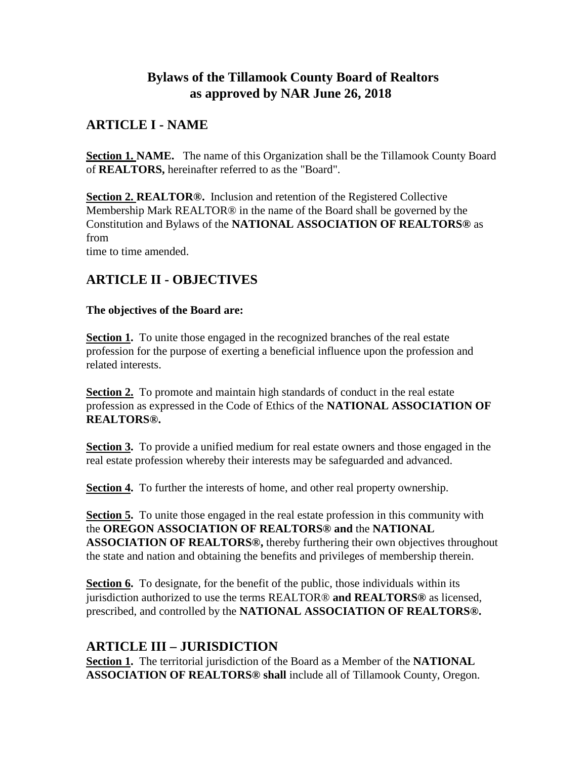## **Bylaws of the Tillamook County Board of Realtors as approved by NAR June 26, 2018**

## **ARTICLE I - NAME**

**Section 1. NAME.** The name of this Organization shall be the Tillamook County Board of **REALTORS,** hereinafter referred to as the "Board".

**Section 2. REALTOR®.** Inclusion and retention of the Registered Collective Membership Mark REALTOR® in the name of the Board shall be governed by the Constitution and Bylaws of the **NATIONAL ASSOCIATION OF REALTORS®** as from time to time amended.

## **ARTICLE II - OBJECTIVES**

#### **The objectives of the Board are:**

**Section 1.** To unite those engaged in the recognized branches of the real estate profession for the purpose of exerting a beneficial influence upon the profession and related interests.

**Section 2.** To promote and maintain high standards of conduct in the real estate profession as expressed in the Code of Ethics of the **NATIONAL ASSOCIATION OF REALTORS®.**

**Section 3.** To provide a unified medium for real estate owners and those engaged in the real estate profession whereby their interests may be safeguarded and advanced.

**Section 4.** To further the interests of home, and other real property ownership.

**Section 5.** To unite those engaged in the real estate profession in this community with the **OREGON ASSOCIATION OF REALTORS® and** the **NATIONAL ASSOCIATION OF REALTORS®,** thereby furthering their own objectives throughout the state and nation and obtaining the benefits and privileges of membership therein.

**Section 6.** To designate, for the benefit of the public, those individuals within its jurisdiction authorized to use the terms REALTOR® **and REALTORS®** as licensed, prescribed, and controlled by the **NATIONAL ASSOCIATION OF REALTORS®.**

### **ARTICLE III – JURISDICTION**

**Section 1.** The territorial jurisdiction of the Board as a Member of the **NATIONAL ASSOCIATION OF REALTORS® shall** include all of Tillamook County, Oregon.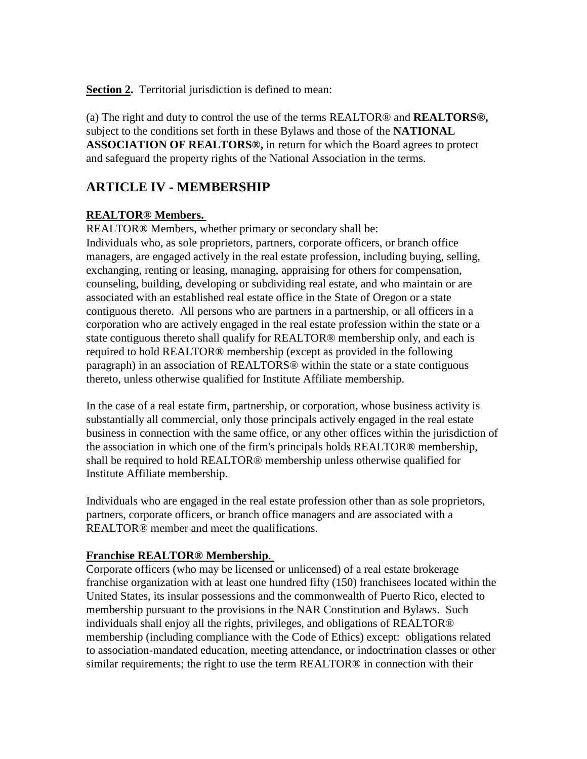**Section 2.** Territorial jurisdiction is defined to mean:

(a) The right and duty to control the use of the terms REALTOR® and **REALTORS®,** subject to the conditions set forth in these Bylaws and those of the **NATIONAL ASSOCIATION OF REALTORS®,** in return for which the Board agrees to protect and safeguard the property rights of the National Association in the terms.

## **ARTICLE IV - MEMBERSHIP**

#### **REALTOR® Members.**

REALTOR® Members, whether primary or secondary shall be:

Individuals who, as sole proprietors, partners, corporate officers, or branch office managers, are engaged actively in the real estate profession, including buying, selling, exchanging, renting or leasing, managing, appraising for others for compensation, counseling, building, developing or subdividing real estate, and who maintain or are associated with an established real estate office in the State of Oregon or a state contiguous thereto. All persons who are partners in a partnership, or all officers in a corporation who are actively engaged in the real estate profession within the state or a state contiguous thereto shall qualify for REALTOR® membership only, and each is required to hold REALTOR® membership (except as provided in the following paragraph) in an association of REALTORS® within the state or a state contiguous thereto, unless otherwise qualified for Institute Affiliate membership.

In the case of a real estate firm, partnership, or corporation, whose business activity is substantially all commercial, only those principals actively engaged in the real estate business in connection with the same office, or any other offices within the jurisdiction of the association in which one of the firm's principals holds REALTOR® membership, shall be required to hold REALTOR® membership unless otherwise qualified for Institute Affiliate membership.

Individuals who are engaged in the real estate profession other than as sole proprietors, partners, corporate officers, or branch office managers and are associated with a REALTOR® member and meet the qualifications.

#### **Franchise REALTOR® Membership**.

Corporate officers (who may be licensed or unlicensed) of a real estate brokerage franchise organization with at least one hundred fifty (150) franchisees located within the United States, its insular possessions and the commonwealth of Puerto Rico, elected to membership pursuant to the provisions in the NAR Constitution and Bylaws. Such individuals shall enjoy all the rights, privileges, and obligations of REALTOR® membership (including compliance with the Code of Ethics) except: obligations related to association-mandated education, meeting attendance, or indoctrination classes or other similar requirements; the right to use the term REALTOR® in connection with their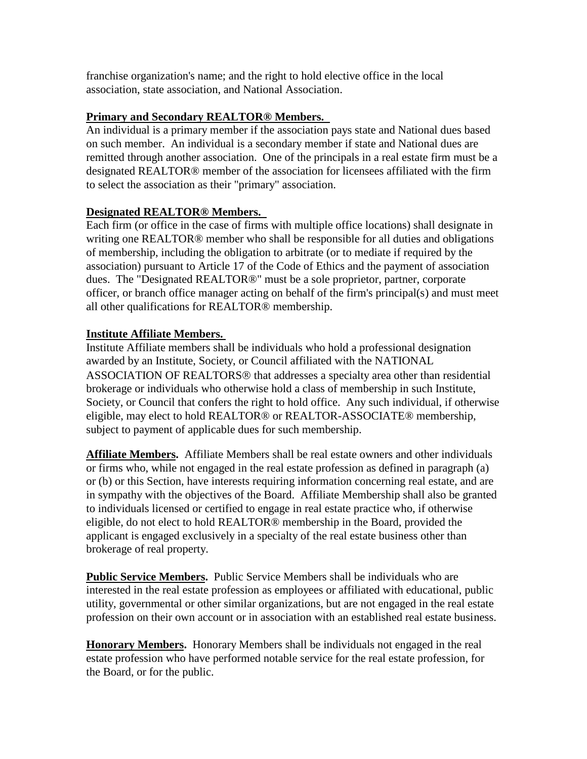franchise organization's name; and the right to hold elective office in the local association, state association, and National Association.

#### **Primary and Secondary REALTOR® Members.**

An individual is a primary member if the association pays state and National dues based on such member. An individual is a secondary member if state and National dues are remitted through another association. One of the principals in a real estate firm must be a designated REALTOR® member of the association for licensees affiliated with the firm to select the association as their "primary" association.

#### **Designated REALTOR® Members.**

Each firm (or office in the case of firms with multiple office locations) shall designate in writing one REALTOR® member who shall be responsible for all duties and obligations of membership, including the obligation to arbitrate (or to mediate if required by the association) pursuant to Article 17 of the Code of Ethics and the payment of association dues. The "Designated REALTOR®" must be a sole proprietor, partner, corporate officer, or branch office manager acting on behalf of the firm's principal(s) and must meet all other qualifications for REALTOR® membership.

#### **Institute Affiliate Members.**

Institute Affiliate members shall be individuals who hold a professional designation awarded by an Institute, Society, or Council affiliated with the NATIONAL ASSOCIATION OF REALTORS<sup>®</sup> that addresses a specialty area other than residential brokerage or individuals who otherwise hold a class of membership in such Institute, Society, or Council that confers the right to hold office. Any such individual, if otherwise eligible, may elect to hold REALTOR® or REALTOR-ASSOCIATE® membership, subject to payment of applicable dues for such membership.

**Affiliate Members.** Affiliate Members shall be real estate owners and other individuals or firms who, while not engaged in the real estate profession as defined in paragraph (a) or (b) or this Section, have interests requiring information concerning real estate, and are in sympathy with the objectives of the Board. Affiliate Membership shall also be granted to individuals licensed or certified to engage in real estate practice who, if otherwise eligible, do not elect to hold REALTOR® membership in the Board, provided the applicant is engaged exclusively in a specialty of the real estate business other than brokerage of real property.

**Public Service Members.** Public Service Members shall be individuals who are interested in the real estate profession as employees or affiliated with educational, public utility, governmental or other similar organizations, but are not engaged in the real estate profession on their own account or in association with an established real estate business.

**Honorary Members.** Honorary Members shall be individuals not engaged in the real estate profession who have performed notable service for the real estate profession, for the Board, or for the public.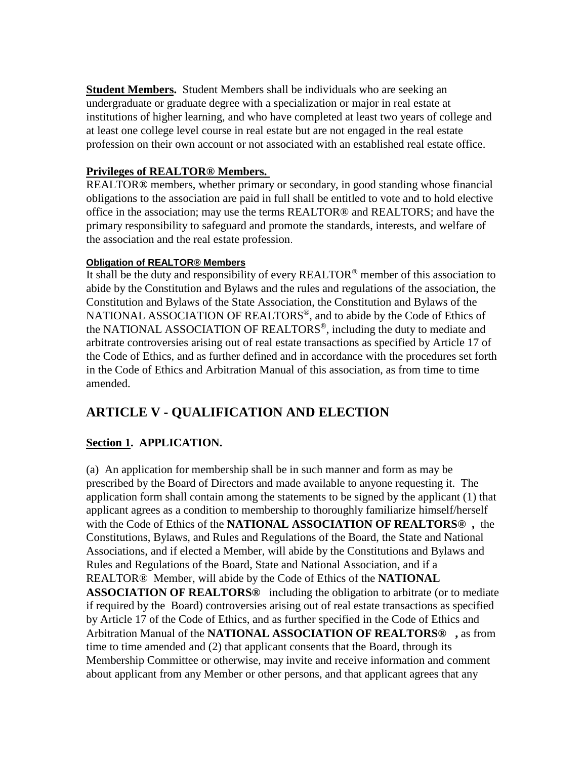**Student Members.** Student Members shall be individuals who are seeking an undergraduate or graduate degree with a specialization or major in real estate at institutions of higher learning, and who have completed at least two years of college and at least one college level course in real estate but are not engaged in the real estate profession on their own account or not associated with an established real estate office.

#### **Privileges of REALTOR® Members.**

REALTOR® members, whether primary or secondary, in good standing whose financial obligations to the association are paid in full shall be entitled to vote and to hold elective office in the association; may use the terms REALTOR® and REALTORS; and have the primary responsibility to safeguard and promote the standards, interests, and welfare of the association and the real estate profession.

#### **Obligation of REALTOR® Members**

It shall be the duty and responsibility of every REALTOR<sup>®</sup> member of this association to abide by the Constitution and Bylaws and the rules and regulations of the association, the Constitution and Bylaws of the State Association, the Constitution and Bylaws of the NATIONAL ASSOCIATION OF REALTORS®, and to abide by the Code of Ethics of the NATIONAL ASSOCIATION OF REALTORS®, including the duty to mediate and arbitrate controversies arising out of real estate transactions as specified by Article 17 of the Code of Ethics, and as further defined and in accordance with the procedures set forth in the Code of Ethics and Arbitration Manual of this association, as from time to time amended.

# **ARTICLE V - QUALIFICATION AND ELECTION**

### **Section 1. APPLICATION.**

(a) An application for membership shall be in such manner and form as may be prescribed by the Board of Directors and made available to anyone requesting it. The application form shall contain among the statements to be signed by the applicant (1) that applicant agrees as a condition to membership to thoroughly familiarize himself/herself with the Code of Ethics of the **NATIONAL ASSOCIATION OF REALTORS® ,** the Constitutions, Bylaws, and Rules and Regulations of the Board, the State and National Associations, and if elected a Member, will abide by the Constitutions and Bylaws and Rules and Regulations of the Board, State and National Association, and if a REALTOR® Member, will abide by the Code of Ethics of the **NATIONAL ASSOCIATION OF REALTORS®** including the obligation to arbitrate (or to mediate if required by the Board) controversies arising out of real estate transactions as specified by Article 17 of the Code of Ethics, and as further specified in the Code of Ethics and Arbitration Manual of the **NATIONAL ASSOCIATION OF REALTORS® ,** as from time to time amended and (2) that applicant consents that the Board, through its Membership Committee or otherwise, may invite and receive information and comment about applicant from any Member or other persons, and that applicant agrees that any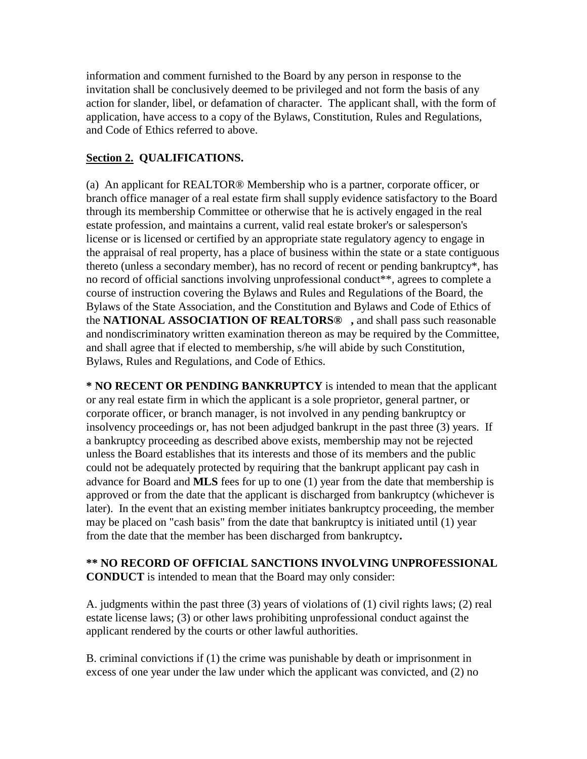information and comment furnished to the Board by any person in response to the invitation shall be conclusively deemed to be privileged and not form the basis of any action for slander, libel, or defamation of character. The applicant shall, with the form of application, have access to a copy of the Bylaws, Constitution, Rules and Regulations, and Code of Ethics referred to above.

### **Section 2. QUALIFICATIONS.**

(a) An applicant for REALTOR® Membership who is a partner, corporate officer, or branch office manager of a real estate firm shall supply evidence satisfactory to the Board through its membership Committee or otherwise that he is actively engaged in the real estate profession, and maintains a current, valid real estate broker's or salesperson's license or is licensed or certified by an appropriate state regulatory agency to engage in the appraisal of real property, has a place of business within the state or a state contiguous thereto (unless a secondary member), has no record of recent or pending bankruptcy\*, has no record of official sanctions involving unprofessional conduct\*\*, agrees to complete a course of instruction covering the Bylaws and Rules and Regulations of the Board, the Bylaws of the State Association, and the Constitution and Bylaws and Code of Ethics of the **NATIONAL ASSOCIATION OF REALTORS® ,** and shall pass such reasonable and nondiscriminatory written examination thereon as may be required by the Committee, and shall agree that if elected to membership, s/he will abide by such Constitution, Bylaws, Rules and Regulations, and Code of Ethics.

**\* NO RECENT OR PENDING BANKRUPTCY** is intended to mean that the applicant or any real estate firm in which the applicant is a sole proprietor, general partner, or corporate officer, or branch manager, is not involved in any pending bankruptcy or insolvency proceedings or, has not been adjudged bankrupt in the past three (3) years. If a bankruptcy proceeding as described above exists, membership may not be rejected unless the Board establishes that its interests and those of its members and the public could not be adequately protected by requiring that the bankrupt applicant pay cash in advance for Board and **MLS** fees for up to one (1) year from the date that membership is approved or from the date that the applicant is discharged from bankruptcy (whichever is later). In the event that an existing member initiates bankruptcy proceeding, the member may be placed on "cash basis" from the date that bankruptcy is initiated until (1) year from the date that the member has been discharged from bankruptcy**.**

### **\*\* NO RECORD OF OFFICIAL SANCTIONS INVOLVING UNPROFESSIONAL CONDUCT** is intended to mean that the Board may only consider:

A. judgments within the past three (3) years of violations of (1) civil rights laws; (2) real estate license laws; (3) or other laws prohibiting unprofessional conduct against the applicant rendered by the courts or other lawful authorities.

B. criminal convictions if (1) the crime was punishable by death or imprisonment in excess of one year under the law under which the applicant was convicted, and (2) no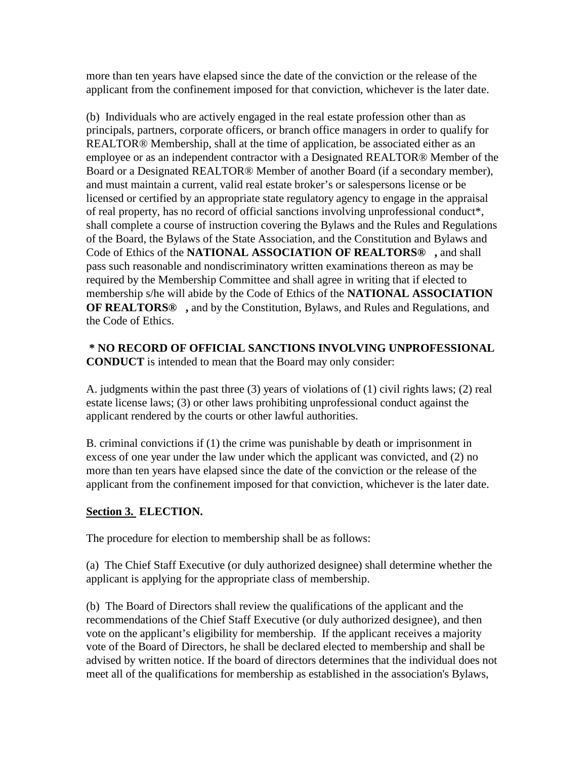more than ten years have elapsed since the date of the conviction or the release of the applicant from the confinement imposed for that conviction, whichever is the later date.

(b) Individuals who are actively engaged in the real estate profession other than as principals, partners, corporate officers, or branch office managers in order to qualify for REALTOR® Membership, shall at the time of application, be associated either as an employee or as an independent contractor with a Designated REALTOR® Member of the Board or a Designated REALTOR® Member of another Board (if a secondary member), and must maintain a current, valid real estate broker's or salespersons license or be licensed or certified by an appropriate state regulatory agency to engage in the appraisal of real property, has no record of official sanctions involving unprofessional conduct\*, shall complete a course of instruction covering the Bylaws and the Rules and Regulations of the Board, the Bylaws of the State Association, and the Constitution and Bylaws and Code of Ethics of the **NATIONAL ASSOCIATION OF REALTORS® ,** and shall pass such reasonable and nondiscriminatory written examinations thereon as may be required by the Membership Committee and shall agree in writing that if elected to membership s/he will abide by the Code of Ethics of the **NATIONAL ASSOCIATION OF REALTORS® ,** and by the Constitution, Bylaws, and Rules and Regulations, and the Code of Ethics.

**\* NO RECORD OF OFFICIAL SANCTIONS INVOLVING UNPROFESSIONAL CONDUCT** is intended to mean that the Board may only consider:

A. judgments within the past three (3) years of violations of (1) civil rights laws; (2) real estate license laws; (3) or other laws prohibiting unprofessional conduct against the applicant rendered by the courts or other lawful authorities.

B. criminal convictions if (1) the crime was punishable by death or imprisonment in excess of one year under the law under which the applicant was convicted, and (2) no more than ten years have elapsed since the date of the conviction or the release of the applicant from the confinement imposed for that conviction, whichever is the later date.

#### **Section 3. ELECTION.**

The procedure for election to membership shall be as follows:

(a) The Chief Staff Executive (or duly authorized designee) shall determine whether the applicant is applying for the appropriate class of membership.

(b) The Board of Directors shall review the qualifications of the applicant and the recommendations of the Chief Staff Executive (or duly authorized designee), and then vote on the applicant's eligibility for membership. If the applicant receives a majority vote of the Board of Directors, he shall be declared elected to membership and shall be advised by written notice. If the board of directors determines that the individual does not meet all of the qualifications for membership as established in the association's Bylaws,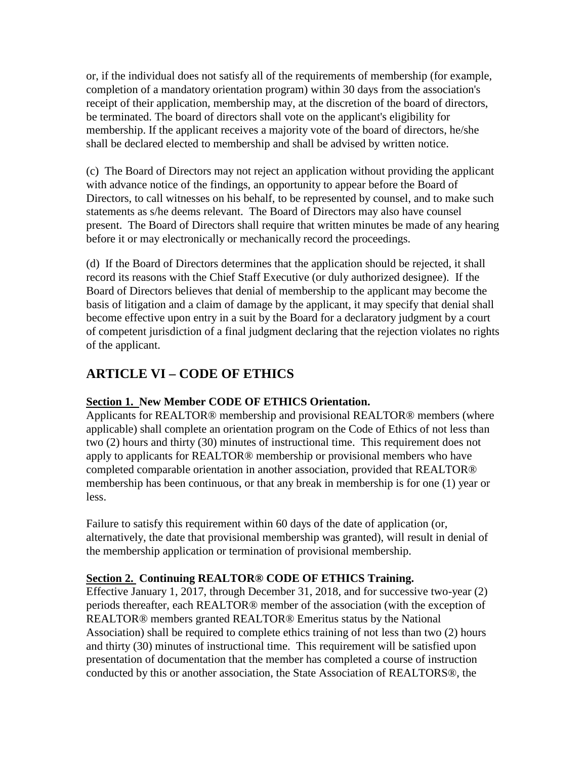or, if the individual does not satisfy all of the requirements of membership (for example, completion of a mandatory orientation program) within 30 days from the association's receipt of their application, membership may, at the discretion of the board of directors, be terminated. The board of directors shall vote on the applicant's eligibility for membership. If the applicant receives a majority vote of the board of directors, he/she shall be declared elected to membership and shall be advised by written notice.

(c) The Board of Directors may not reject an application without providing the applicant with advance notice of the findings, an opportunity to appear before the Board of Directors, to call witnesses on his behalf, to be represented by counsel, and to make such statements as s/he deems relevant. The Board of Directors may also have counsel present. The Board of Directors shall require that written minutes be made of any hearing before it or may electronically or mechanically record the proceedings.

(d) If the Board of Directors determines that the application should be rejected, it shall record its reasons with the Chief Staff Executive (or duly authorized designee). If the Board of Directors believes that denial of membership to the applicant may become the basis of litigation and a claim of damage by the applicant, it may specify that denial shall become effective upon entry in a suit by the Board for a declaratory judgment by a court of competent jurisdiction of a final judgment declaring that the rejection violates no rights of the applicant.

# **ARTICLE VI – CODE OF ETHICS**

### **Section 1. New Member CODE OF ETHICS Orientation.**

Applicants for REALTOR® membership and provisional REALTOR® members (where applicable) shall complete an orientation program on the Code of Ethics of not less than two (2) hours and thirty (30) minutes of instructional time. This requirement does not apply to applicants for REALTOR® membership or provisional members who have completed comparable orientation in another association, provided that REALTOR® membership has been continuous, or that any break in membership is for one (1) year or less.

Failure to satisfy this requirement within 60 days of the date of application (or, alternatively, the date that provisional membership was granted), will result in denial of the membership application or termination of provisional membership.

#### **Section 2. Continuing REALTOR® CODE OF ETHICS Training.**

Effective January 1, 2017, through December 31, 2018, and for successive two-year (2) periods thereafter, each REALTOR® member of the association (with the exception of REALTOR® members granted REALTOR® Emeritus status by the National Association) shall be required to complete ethics training of not less than two (2) hours and thirty (30) minutes of instructional time. This requirement will be satisfied upon presentation of documentation that the member has completed a course of instruction conducted by this or another association, the State Association of REALTORS®, the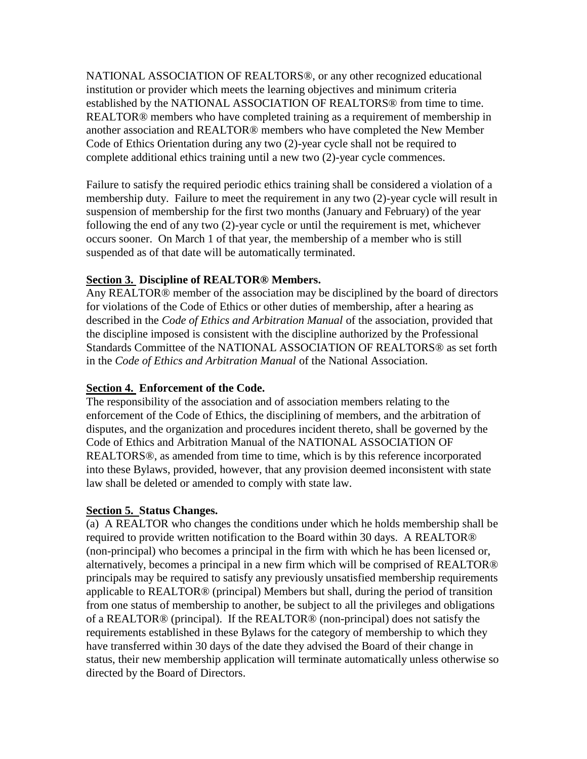NATIONAL ASSOCIATION OF REALTORS®, or any other recognized educational institution or provider which meets the learning objectives and minimum criteria established by the NATIONAL ASSOCIATION OF REALTORS® from time to time. REALTOR® members who have completed training as a requirement of membership in another association and REALTOR® members who have completed the New Member Code of Ethics Orientation during any two (2)-year cycle shall not be required to complete additional ethics training until a new two (2)-year cycle commences.

Failure to satisfy the required periodic ethics training shall be considered a violation of a membership duty. Failure to meet the requirement in any two (2)-year cycle will result in suspension of membership for the first two months (January and February) of the year following the end of any two (2)-year cycle or until the requirement is met, whichever occurs sooner. On March 1 of that year, the membership of a member who is still suspended as of that date will be automatically terminated.

#### **Section 3. Discipline of REALTOR® Members.**

Any REALTOR® member of the association may be disciplined by the board of directors for violations of the Code of Ethics or other duties of membership, after a hearing as described in the *Code of Ethics and Arbitration Manual* of the association, provided that the discipline imposed is consistent with the discipline authorized by the Professional Standards Committee of the NATIONAL ASSOCIATION OF REALTORS® as set forth in the *Code of Ethics and Arbitration Manual* of the National Association.

#### **Section 4. Enforcement of the Code.**

The responsibility of the association and of association members relating to the enforcement of the Code of Ethics, the disciplining of members, and the arbitration of disputes, and the organization and procedures incident thereto, shall be governed by the Code of Ethics and Arbitration Manual of the NATIONAL ASSOCIATION OF REALTORS®, as amended from time to time, which is by this reference incorporated into these Bylaws, provided, however, that any provision deemed inconsistent with state law shall be deleted or amended to comply with state law.

### **Section 5. Status Changes.**

(a) A REALTOR who changes the conditions under which he holds membership shall be required to provide written notification to the Board within 30 days. A REALTOR® (non-principal) who becomes a principal in the firm with which he has been licensed or, alternatively, becomes a principal in a new firm which will be comprised of REALTOR® principals may be required to satisfy any previously unsatisfied membership requirements applicable to REALTOR® (principal) Members but shall, during the period of transition from one status of membership to another, be subject to all the privileges and obligations of a REALTOR® (principal). If the REALTOR® (non-principal) does not satisfy the requirements established in these Bylaws for the category of membership to which they have transferred within 30 days of the date they advised the Board of their change in status, their new membership application will terminate automatically unless otherwise so directed by the Board of Directors.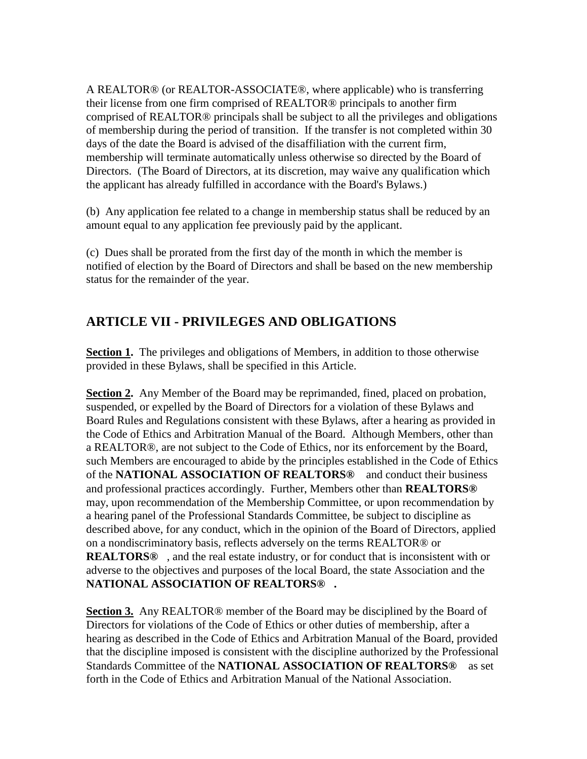A REALTOR® (or REALTOR-ASSOCIATE®, where applicable) who is transferring their license from one firm comprised of REALTOR® principals to another firm comprised of REALTOR® principals shall be subject to all the privileges and obligations of membership during the period of transition. If the transfer is not completed within 30 days of the date the Board is advised of the disaffiliation with the current firm, membership will terminate automatically unless otherwise so directed by the Board of Directors. (The Board of Directors, at its discretion, may waive any qualification which the applicant has already fulfilled in accordance with the Board's Bylaws.)

(b) Any application fee related to a change in membership status shall be reduced by an amount equal to any application fee previously paid by the applicant.

(c) Dues shall be prorated from the first day of the month in which the member is notified of election by the Board of Directors and shall be based on the new membership status for the remainder of the year.

## **ARTICLE VII - PRIVILEGES AND OBLIGATIONS**

**Section 1.** The privileges and obligations of Members, in addition to those otherwise provided in these Bylaws, shall be specified in this Article.

**Section 2.** Any Member of the Board may be reprimanded, fined, placed on probation, suspended, or expelled by the Board of Directors for a violation of these Bylaws and Board Rules and Regulations consistent with these Bylaws, after a hearing as provided in the Code of Ethics and Arbitration Manual of the Board. Although Members, other than a REALTOR®, are not subject to the Code of Ethics, nor its enforcement by the Board, such Members are encouraged to abide by the principles established in the Code of Ethics of the **NATIONAL ASSOCIATION OF REALTORS®** and conduct their business and professional practices accordingly. Further, Members other than **REALTORS®** may, upon recommendation of the Membership Committee, or upon recommendation by a hearing panel of the Professional Standards Committee, be subject to discipline as described above, for any conduct, which in the opinion of the Board of Directors, applied on a nondiscriminatory basis, reflects adversely on the terms REALTOR® or **REALTORS®** , and the real estate industry, or for conduct that is inconsistent with or adverse to the objectives and purposes of the local Board, the state Association and the **NATIONAL ASSOCIATION OF REALTORS® .**

**Section 3.** Any REALTOR® member of the Board may be disciplined by the Board of Directors for violations of the Code of Ethics or other duties of membership, after a hearing as described in the Code of Ethics and Arbitration Manual of the Board, provided that the discipline imposed is consistent with the discipline authorized by the Professional Standards Committee of the **NATIONAL ASSOCIATION OF REALTORS®** as set forth in the Code of Ethics and Arbitration Manual of the National Association.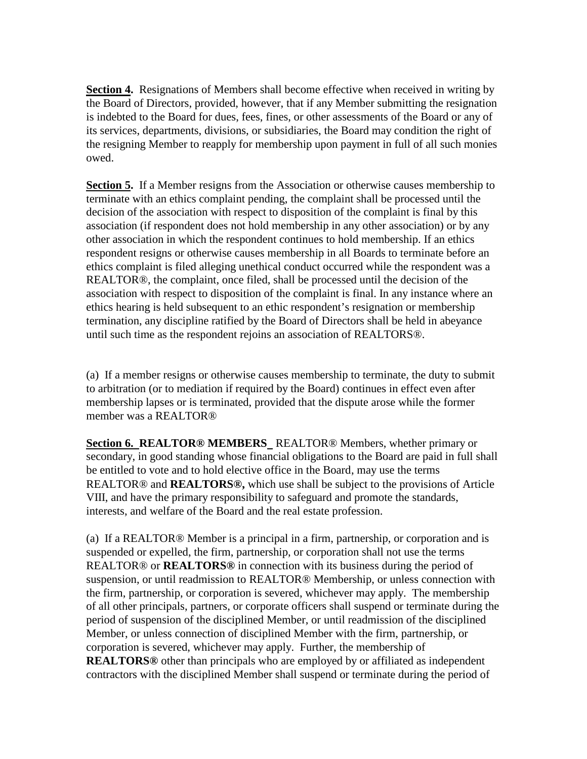**Section 4.** Resignations of Members shall become effective when received in writing by the Board of Directors, provided, however, that if any Member submitting the resignation is indebted to the Board for dues, fees, fines, or other assessments of the Board or any of its services, departments, divisions, or subsidiaries, the Board may condition the right of the resigning Member to reapply for membership upon payment in full of all such monies owed.

**Section 5.** If a Member resigns from the Association or otherwise causes membership to terminate with an ethics complaint pending, the complaint shall be processed until the decision of the association with respect to disposition of the complaint is final by this association (if respondent does not hold membership in any other association) or by any other association in which the respondent continues to hold membership. If an ethics respondent resigns or otherwise causes membership in all Boards to terminate before an ethics complaint is filed alleging unethical conduct occurred while the respondent was a REALTOR®, the complaint, once filed, shall be processed until the decision of the association with respect to disposition of the complaint is final. In any instance where an ethics hearing is held subsequent to an ethic respondent's resignation or membership termination, any discipline ratified by the Board of Directors shall be held in abeyance until such time as the respondent rejoins an association of REALTORS®.

(a) If a member resigns or otherwise causes membership to terminate, the duty to submit to arbitration (or to mediation if required by the Board) continues in effect even after membership lapses or is terminated, provided that the dispute arose while the former member was a REALTOR®

**Section 6. REALTOR® MEMBERS** REALTOR® Members, whether primary or secondary, in good standing whose financial obligations to the Board are paid in full shall be entitled to vote and to hold elective office in the Board, may use the terms REALTOR® and **REALTORS®,** which use shall be subject to the provisions of Article VIII, and have the primary responsibility to safeguard and promote the standards, interests, and welfare of the Board and the real estate profession.

(a) If a REALTOR® Member is a principal in a firm, partnership, or corporation and is suspended or expelled, the firm, partnership, or corporation shall not use the terms REALTOR® or **REALTORS®** in connection with its business during the period of suspension, or until readmission to REALTOR® Membership, or unless connection with the firm, partnership, or corporation is severed, whichever may apply. The membership of all other principals, partners, or corporate officers shall suspend or terminate during the period of suspension of the disciplined Member, or until readmission of the disciplined Member, or unless connection of disciplined Member with the firm, partnership, or corporation is severed, whichever may apply. Further, the membership of **REALTORS®** other than principals who are employed by or affiliated as independent contractors with the disciplined Member shall suspend or terminate during the period of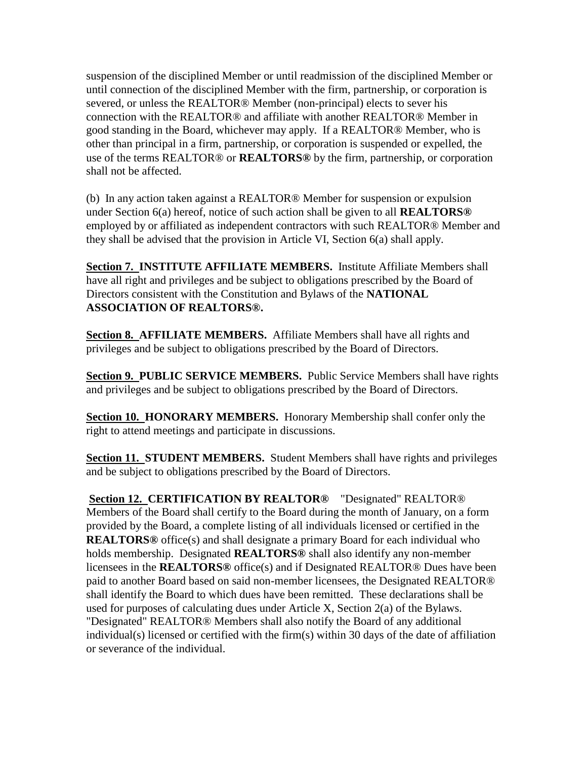suspension of the disciplined Member or until readmission of the disciplined Member or until connection of the disciplined Member with the firm, partnership, or corporation is severed, or unless the REALTOR® Member (non-principal) elects to sever his connection with the REALTOR® and affiliate with another REALTOR® Member in good standing in the Board, whichever may apply. If a REALTOR® Member, who is other than principal in a firm, partnership, or corporation is suspended or expelled, the use of the terms REALTOR® or **REALTORS®** by the firm, partnership, or corporation shall not be affected.

(b) In any action taken against a REALTOR® Member for suspension or expulsion under Section 6(a) hereof, notice of such action shall be given to all **REALTORS®** employed by or affiliated as independent contractors with such REALTOR® Member and they shall be advised that the provision in Article VI, Section 6(a) shall apply.

**Section 7. INSTITUTE AFFILIATE MEMBERS.** Institute Affiliate Members shall have all right and privileges and be subject to obligations prescribed by the Board of Directors consistent with the Constitution and Bylaws of the **NATIONAL ASSOCIATION OF REALTORS®.**

**Section 8. AFFILIATE MEMBERS.** Affiliate Members shall have all rights and privileges and be subject to obligations prescribed by the Board of Directors.

**Section 9. PUBLIC SERVICE MEMBERS.** Public Service Members shall have rights and privileges and be subject to obligations prescribed by the Board of Directors.

**Section 10. HONORARY MEMBERS.** Honorary Membership shall confer only the right to attend meetings and participate in discussions.

**Section 11. STUDENT MEMBERS.** Student Members shall have rights and privileges and be subject to obligations prescribed by the Board of Directors.

**Section 12. CERTIFICATION BY REALTOR®** "Designated" REALTOR® Members of the Board shall certify to the Board during the month of January, on a form provided by the Board, a complete listing of all individuals licensed or certified in the **REALTORS®** office(s) and shall designate a primary Board for each individual who holds membership. Designated **REALTORS®** shall also identify any non-member licensees in the **REALTORS®** office(s) and if Designated REALTOR® Dues have been paid to another Board based on said non-member licensees, the Designated REALTOR® shall identify the Board to which dues have been remitted. These declarations shall be used for purposes of calculating dues under Article X, Section 2(a) of the Bylaws. "Designated" REALTOR® Members shall also notify the Board of any additional individual(s) licensed or certified with the firm(s) within 30 days of the date of affiliation or severance of the individual.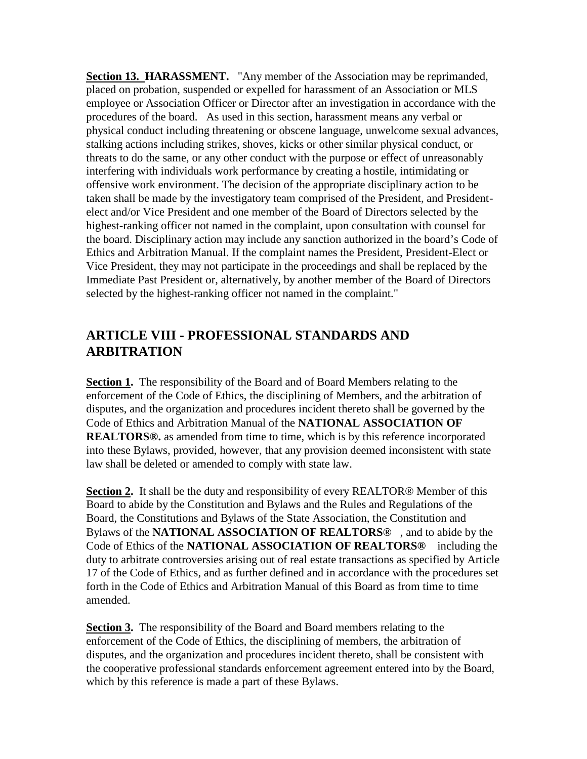**Section 13. HARASSMENT.** "Any member of the Association may be reprimanded, placed on probation, suspended or expelled for harassment of an Association or MLS employee or Association Officer or Director after an investigation in accordance with the procedures of the board. As used in this section, harassment means any verbal or physical conduct including threatening or obscene language, unwelcome sexual advances, stalking actions including strikes, shoves, kicks or other similar physical conduct, or threats to do the same, or any other conduct with the purpose or effect of unreasonably interfering with individuals work performance by creating a hostile, intimidating or offensive work environment. The decision of the appropriate disciplinary action to be taken shall be made by the investigatory team comprised of the President, and President elect and/or Vice President and one member of the Board of Directors selected by the highest-ranking officer not named in the complaint, upon consultation with counsel for the board. Disciplinary action may include any sanction authorized in the board's Code of Ethics and Arbitration Manual. If the complaint names the President, President-Elect or Vice President, they may not participate in the proceedings and shall be replaced by the Immediate Past President or, alternatively, by another member of the Board of Directors selected by the highest-ranking officer not named in the complaint."

## **ARTICLE VIII - PROFESSIONAL STANDARDS AND ARBITRATION**

**Section 1.** The responsibility of the Board and of Board Members relating to the enforcement of the Code of Ethics, the disciplining of Members, and the arbitration of disputes, and the organization and procedures incident thereto shall be governed by the Code of Ethics and Arbitration Manual of the **NATIONAL ASSOCIATION OF REALTORS®.** as amended from time to time, which is by this reference incorporated into these Bylaws, provided, however, that any provision deemed inconsistent with state law shall be deleted or amended to comply with state law.

**Section 2.** It shall be the duty and responsibility of every REALTOR® Member of this Board to abide by the Constitution and Bylaws and the Rules and Regulations of the Board, the Constitutions and Bylaws of the State Association, the Constitution and Bylaws of the **NATIONAL ASSOCIATION OF REALTORS®** , and to abide by the Code of Ethics of the **NATIONAL ASSOCIATION OF REALTORS®** including the duty to arbitrate controversies arising out of real estate transactions as specified by Article 17 of the Code of Ethics, and as further defined and in accordance with the procedures set forth in the Code of Ethics and Arbitration Manual of this Board as from time to time amended.

**Section 3.** The responsibility of the Board and Board members relating to the enforcement of the Code of Ethics, the disciplining of members, the arbitration of disputes, and the organization and procedures incident thereto, shall be consistent with the cooperative professional standards enforcement agreement entered into by the Board, which by this reference is made a part of these Bylaws.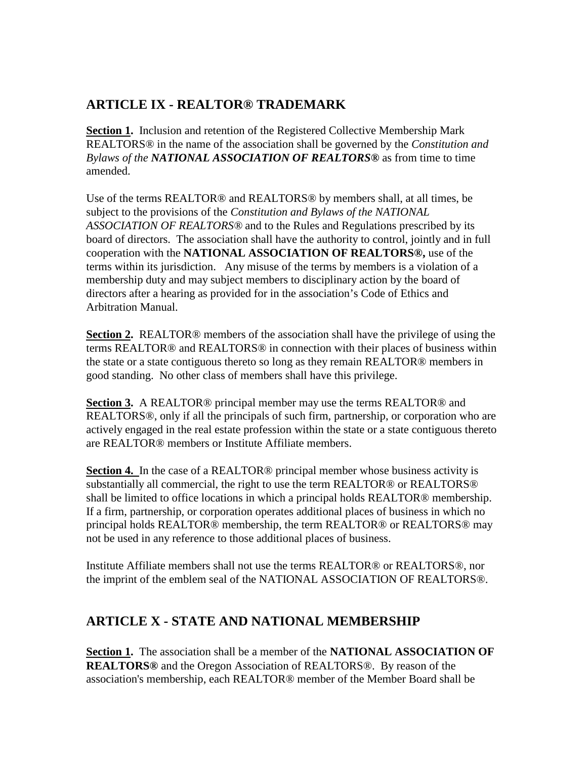# **ARTICLE IX - REALTOR® TRADEMARK**

**Section 1.** Inclusion and retention of the Registered Collective Membership Mark REALTORS® in the name of the association shall be governed by the *Constitution and Bylaws of the NATIONAL ASSOCIATION OF REALTORS®* as from time to time amended.

Use of the terms REALTOR® and REALTORS® by members shall, at all times, be subject to the provisions of the *Constitution and Bylaws of the NATIONAL ASSOCIATION OF REALTORS®* and to the Rules and Regulations prescribed by its board of directors. The association shall have the authority to control, jointly and in full cooperation with the **NATIONAL ASSOCIATION OF REALTORS®,** use of the terms within its jurisdiction. Any misuse of the terms by members is a violation of a membership duty and may subject members to disciplinary action by the board of directors after a hearing as provided for in the association's Code of Ethics and Arbitration Manual.

**Section 2.** REALTOR<sup>®</sup> members of the association shall have the privilege of using the terms REALTOR® and REALTORS® in connection with their places of business within the state or a state contiguous thereto so long as they remain REALTOR® members in good standing. No other class of members shall have this privilege.

**Section 3.** A REALTOR® principal member may use the terms REALTOR® and REALTORS®, only if all the principals of such firm, partnership, or corporation who are actively engaged in the real estate profession within the state or a state contiguous thereto are REALTOR® members or Institute Affiliate members.

**Section 4.** In the case of a REALTOR® principal member whose business activity is substantially all commercial, the right to use the term REALTOR® or REALTORS® shall be limited to office locations in which a principal holds REALTOR® membership. If a firm, partnership, or corporation operates additional places of business in which no principal holds REALTOR® membership, the term REALTOR® or REALTORS® may not be used in any reference to those additional places of business.

Institute Affiliate members shall not use the terms REALTOR® or REALTORS®, nor the imprint of the emblem seal of the NATIONAL ASSOCIATION OF REALTORS®.

## **ARTICLE X - STATE AND NATIONAL MEMBERSHIP**

**Section 1.** The association shall be a member of the **NATIONAL ASSOCIATION OF REALTORS®** and the Oregon Association of REALTORS®. By reason of the association's membership, each REALTOR® member of the Member Board shall be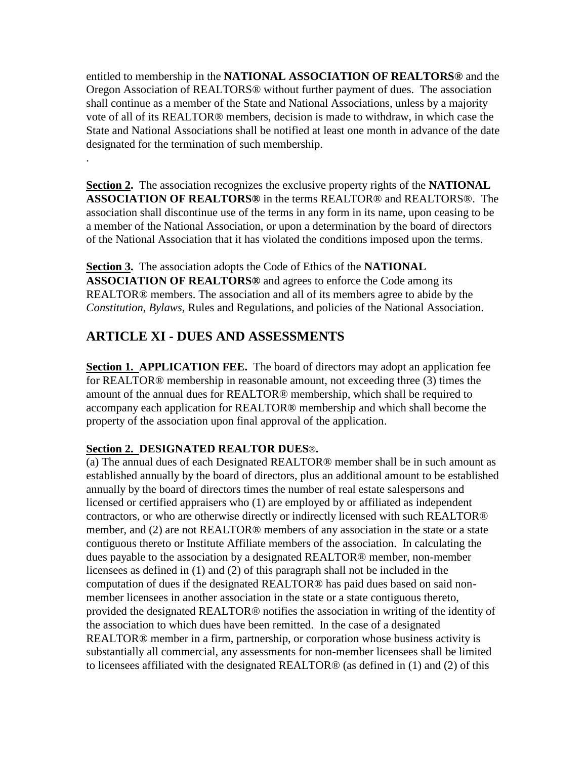entitled to membership in the **NATIONAL ASSOCIATION OF REALTORS®** and the Oregon Association of REALTORS® without further payment of dues. The association shall continue as a member of the State and National Associations, unless by a majority vote of all of its REALTOR® members, decision is made to withdraw, in which case the State and National Associations shall be notified at least one month in advance of the date designated for the termination of such membership.

**Section 2.** The association recognizes the exclusive property rights of the **NATIONAL ASSOCIATION OF REALTORS®** in the terms REALTOR® and REALTORS®. The association shall discontinue use of the terms in any form in its name, upon ceasing to be a member of the National Association, or upon a determination by the board of directors of the National Association that it has violated the conditions imposed upon the terms.

**Section 3.** The association adopts the Code of Ethics of the **NATIONAL ASSOCIATION OF REALTORS®** and agrees to enforce the Code among its REALTOR® members. The association and all of its members agree to abide by the *Constitution, Bylaws,* Rules and Regulations, and policies of the National Association.

## **ARTICLE XI - DUES AND ASSESSMENTS**

.

**Section 1. APPLICATION FEE.** The board of directors may adopt an application fee for REALTOR® membership in reasonable amount, not exceeding three (3) times the amount of the annual dues for REALTOR® membership, which shall be required to accompany each application for REALTOR® membership and which shall become the property of the association upon final approval of the application.

### **Section 2. DESIGNATED REALTOR DUES**®**.**

(a) The annual dues of each Designated REALTOR® member shall be in such amount as established annually by the board of directors, plus an additional amount to be established annually by the board of directors times the number of real estate salespersons and licensed or certified appraisers who (1) are employed by or affiliated as independent contractors, or who are otherwise directly or indirectly licensed with such REALTOR® member, and (2) are not REALTOR® members of any association in the state or a state contiguous thereto or Institute Affiliate members of the association. In calculating the dues payable to the association by a designated REALTOR® member, non-member licensees as defined in (1) and (2) of this paragraph shall not be included in the computation of dues if the designated REALTOR® has paid dues based on said non member licensees in another association in the state or a state contiguous thereto, provided the designated REALTOR® notifies the association in writing of the identity of the association to which dues have been remitted. In the case of a designated REALTOR® member in a firm, partnership, or corporation whose business activity is substantially all commercial, any assessments for non-member licensees shall be limited to licensees affiliated with the designated REALTOR® (as defined in (1) and (2) of this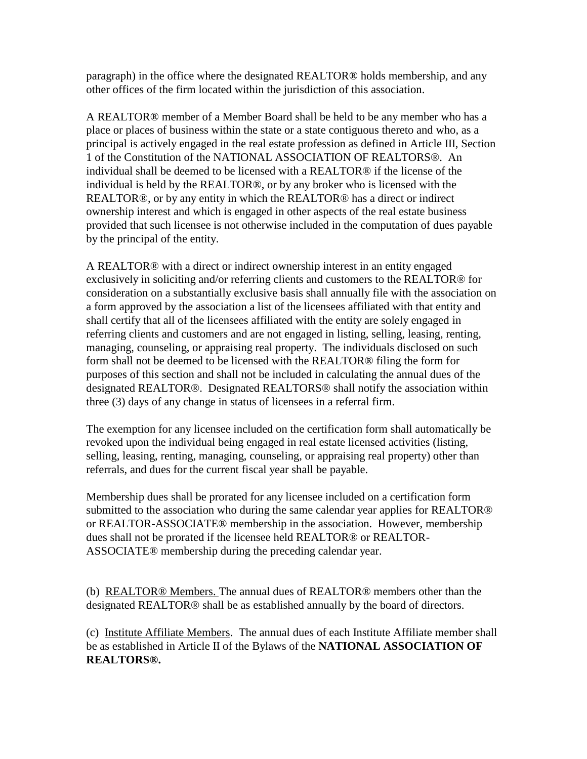paragraph) in the office where the designated REALTOR® holds membership, and any other offices of the firm located within the jurisdiction of this association.

A REALTOR® member of a Member Board shall be held to be any member who has a place or places of business within the state or a state contiguous thereto and who, as a principal is actively engaged in the real estate profession as defined in Article III, Section 1 of the Constitution of the NATIONAL ASSOCIATION OF REALTORS®. An individual shall be deemed to be licensed with a REALTOR® if the license of the individual is held by the REALTOR®, or by any broker who is licensed with the REALTOR®, or by any entity in which the REALTOR® has a direct or indirect ownership interest and which is engaged in other aspects of the real estate business provided that such licensee is not otherwise included in the computation of dues payable by the principal of the entity.

A REALTOR® with a direct or indirect ownership interest in an entity engaged exclusively in soliciting and/or referring clients and customers to the REALTOR® for consideration on a substantially exclusive basis shall annually file with the association on a form approved by the association a list of the licensees affiliated with that entity and shall certify that all of the licensees affiliated with the entity are solely engaged in referring clients and customers and are not engaged in listing, selling, leasing, renting, managing, counseling, or appraising real property. The individuals disclosed on such form shall not be deemed to be licensed with the REALTOR® filing the form for purposes of this section and shall not be included in calculating the annual dues of the designated REALTOR®. Designated REALTORS® shall notify the association within three (3) days of any change in status of licensees in a referral firm.

The exemption for any licensee included on the certification form shall automatically be revoked upon the individual being engaged in real estate licensed activities (listing, selling, leasing, renting, managing, counseling, or appraising real property) other than referrals, and dues for the current fiscal year shall be payable.

Membership dues shall be prorated for any licensee included on a certification form submitted to the association who during the same calendar year applies for REALTOR® or REALTOR-ASSOCIATE® membership in the association. However, membership dues shall not be prorated if the licensee held REALTOR® or REALTOR- ASSOCIATE® membership during the preceding calendar year.

(b) REALTOR® Members. The annual dues of REALTOR® members other than the designated REALTOR® shall be as established annually by the board of directors.

(c) Institute Affiliate Members. The annual dues of each Institute Affiliate member shall be as established in Article II of the Bylaws of the **NATIONAL ASSOCIATION OF REALTORS®.**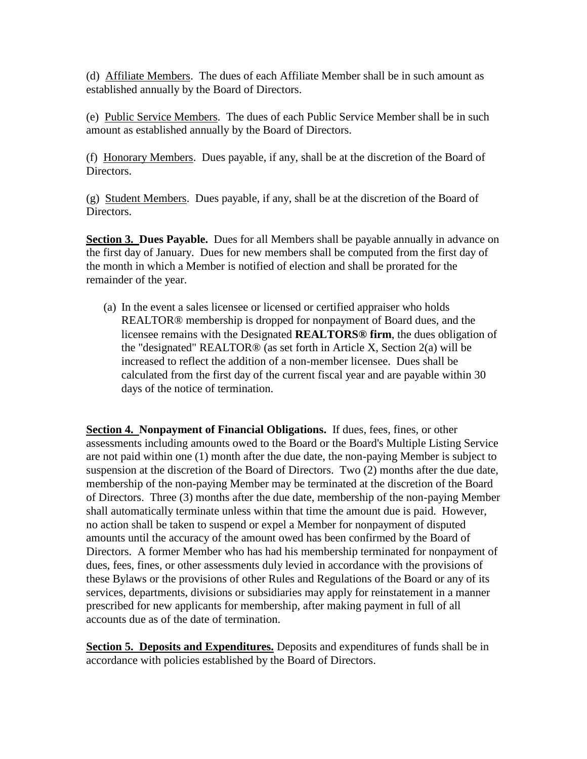(d) Affiliate Members. The dues of each Affiliate Member shall be in such amount as established annually by the Board of Directors.

(e) Public Service Members. The dues of each Public Service Member shall be in such amount as established annually by the Board of Directors.

(f) Honorary Members. Dues payable, if any, shall be at the discretion of the Board of Directors.

(g) Student Members. Dues payable, if any, shall be at the discretion of the Board of Directors.

**Section 3. Dues Payable.** Dues for all Members shall be payable annually in advance on the first day of January. Dues for new members shall be computed from the first day of the month in which a Member is notified of election and shall be prorated for the remainder of the year.

(a) In the event a sales licensee or licensed or certified appraiser who holds REALTOR® membership is dropped for nonpayment of Board dues, and the licensee remains with the Designated **REALTORS® firm**, the dues obligation of the "designated" REALTOR® (as set forth in Article X, Section 2(a) will be increased to reflect the addition of a non-member licensee. Dues shall be calculated from the first day of the current fiscal year and are payable within 30 days of the notice of termination.

**Section 4. Nonpayment of Financial Obligations.** If dues, fees, fines, or other assessments including amounts owed to the Board or the Board's Multiple Listing Service are not paid within one (1) month after the due date, the non-paying Member is subject to suspension at the discretion of the Board of Directors. Two (2) months after the due date, membership of the non-paying Member may be terminated at the discretion of the Board of Directors. Three (3) months after the due date, membership of the non-paying Member shall automatically terminate unless within that time the amount due is paid. However, no action shall be taken to suspend or expel a Member for nonpayment of disputed amounts until the accuracy of the amount owed has been confirmed by the Board of Directors. A former Member who has had his membership terminated for nonpayment of dues, fees, fines, or other assessments duly levied in accordance with the provisions of these Bylaws or the provisions of other Rules and Regulations of the Board or any of its services, departments, divisions or subsidiaries may apply for reinstatement in a manner prescribed for new applicants for membership, after making payment in full of all accounts due as of the date of termination.

**<u>Section 5. Deposits and Expenditures.</u>** Deposits and expenditures of funds shall be in accordance with policies established by the Board of Directors.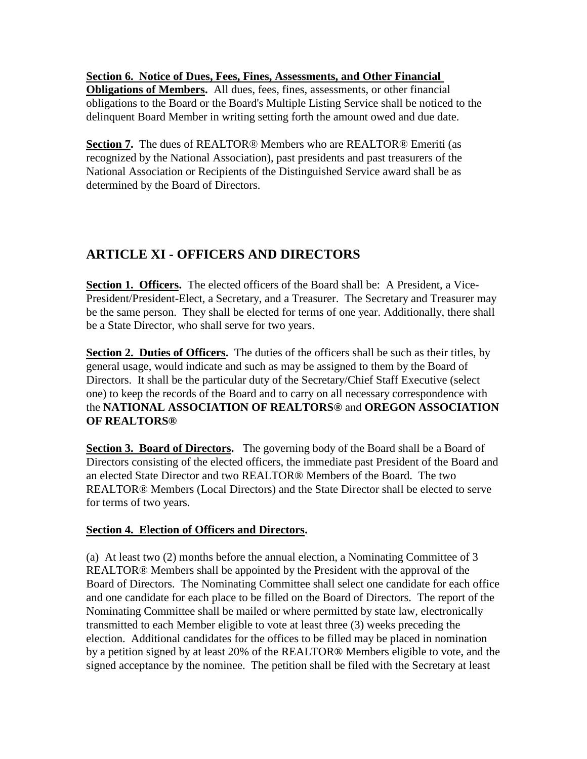**Section 6. Notice of Dues, Fees, Fines, Assessments, and Other Financial**

**Obligations of Members.** All dues, fees, fines, assessments, or other financial obligations to the Board or the Board's Multiple Listing Service shall be noticed to the delinquent Board Member in writing setting forth the amount owed and due date.

**Section 7.** The dues of REALTOR® Members who are REALTOR® Emeriti (as recognized by the National Association), past presidents and past treasurers of the National Association or Recipients of the Distinguished Service award shall be as determined by the Board of Directors.

# **ARTICLE XI - OFFICERS AND DIRECTORS**

**Section 1. Officers.** The elected officers of the Board shall be: A President, a Vice- President/President-Elect, a Secretary, and a Treasurer. The Secretary and Treasurer may be the same person. They shall be elected for terms of one year. Additionally, there shall be a State Director, who shall serve for two years.

Section 2. Duties of Officers. The duties of the officers shall be such as their titles, by general usage, would indicate and such as may be assigned to them by the Board of Directors. It shall be the particular duty of the Secretary/Chief Staff Executive (select one) to keep the records of the Board and to carry on all necessary correspondence with the **NATIONAL ASSOCIATION OF REALTORS®** and **OREGON ASSOCIATION OF REALTORS®**

**Section 3. Board of Directors.** The governing body of the Board shall be a Board of Directors consisting of the elected officers, the immediate past President of the Board and an elected State Director and two REALTOR® Members of the Board. The two REALTOR® Members (Local Directors) and the State Director shall be elected to serve for terms of two years.

### **Section 4. Election of Officers and Directors.**

(a) At least two (2) months before the annual election, a Nominating Committee of 3 REALTOR® Members shall be appointed by the President with the approval of the Board of Directors. The Nominating Committee shall select one candidate for each office and one candidate for each place to be filled on the Board of Directors. The report of the Nominating Committee shall be mailed or where permitted by state law, electronically transmitted to each Member eligible to vote at least three (3) weeks preceding the election. Additional candidates for the offices to be filled may be placed in nomination by a petition signed by at least 20% of the REALTOR® Members eligible to vote, and the signed acceptance by the nominee. The petition shall be filed with the Secretary at least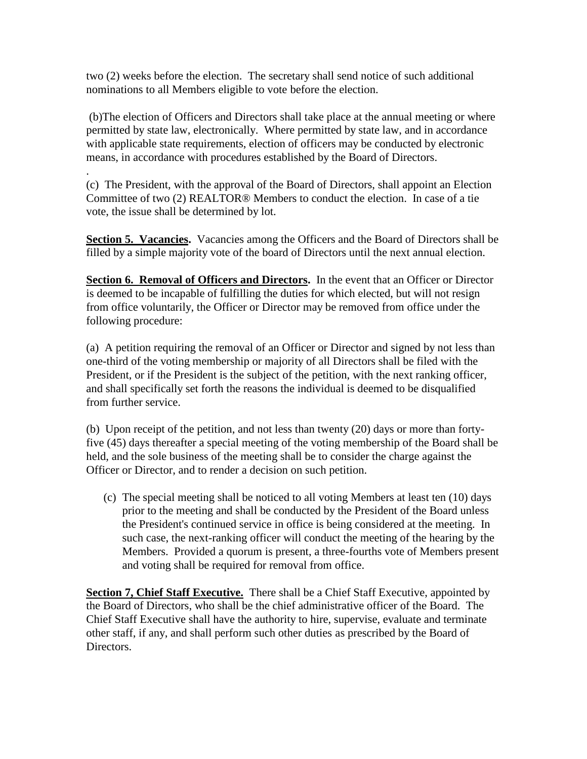two (2) weeks before the election. The secretary shall send notice of such additional nominations to all Members eligible to vote before the election.

(b)The election of Officers and Directors shall take place at the annual meeting or where permitted by state law, electronically. Where permitted by state law, and in accordance with applicable state requirements, election of officers may be conducted by electronic means, in accordance with procedures established by the Board of Directors.

.(c) The President, with the approval of the Board of Directors, shall appoint an Election Committee of two (2) REALTOR® Members to conduct the election. In case of a tie vote, the issue shall be determined by lot.

**Section 5. Vacancies.** Vacancies among the Officers and the Board of Directors shall be filled by a simple majority vote of the board of Directors until the next annual election.

**Section 6. Removal of Officers and Directors.** In the event that an Officer or Director is deemed to be incapable of fulfilling the duties for which elected, but will not resign from office voluntarily, the Officer or Director may be removed from office under the following procedure:

(a) A petition requiring the removal of an Officer or Director and signed by not less than one-third of the voting membership or majority of all Directors shall be filed with the President, or if the President is the subject of the petition, with the next ranking officer, and shall specifically set forth the reasons the individual is deemed to be disqualified from further service.

(b) Upon receipt of the petition, and not less than twenty (20) days or more than fortyfive (45) days thereafter a special meeting of the voting membership of the Board shall be held, and the sole business of the meeting shall be to consider the charge against the Officer or Director, and to render a decision on such petition.

(c) The special meeting shall be noticed to all voting Members at least ten (10) days prior to the meeting and shall be conducted by the President of the Board unless the President's continued service in office is being considered at the meeting. In such case, the next-ranking officer will conduct the meeting of the hearing by the Members. Provided a quorum is present, a three-fourths vote of Members present and voting shall be required for removal from office.

**Section 7, Chief Staff Executive.** There shall be a Chief Staff Executive, appointed by the Board of Directors, who shall be the chief administrative officer of the Board. The Chief Staff Executive shall have the authority to hire, supervise, evaluate and terminate other staff, if any, and shall perform such other duties as prescribed by the Board of Directors.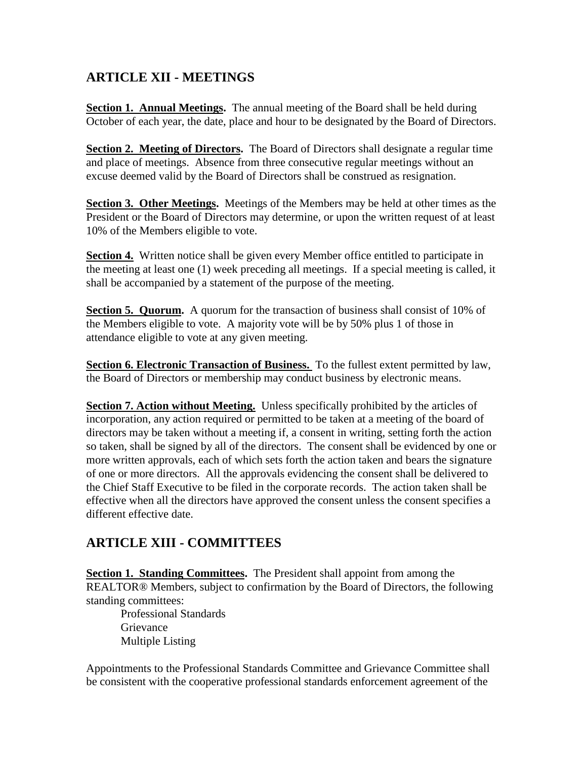# **ARTICLE XII - MEETINGS**

**Section 1. Annual Meetings.** The annual meeting of the Board shall be held during October of each year, the date, place and hour to be designated by the Board of Directors.

**Section 2. Meeting of Directors.** The Board of Directors shall designate a regular time and place of meetings. Absence from three consecutive regular meetings without an excuse deemed valid by the Board of Directors shall be construed as resignation.

**Section 3. Other Meetings.** Meetings of the Members may be held at other times as the President or the Board of Directors may determine, or upon the written request of at least 10% of the Members eligible to vote.

**Section 4.** Written notice shall be given every Member office entitled to participate in the meeting at least one (1) week preceding all meetings. If a special meeting is called, it shall be accompanied by a statement of the purpose of the meeting.

**Section 5. Quorum.** A quorum for the transaction of business shall consist of 10% of the Members eligible to vote. A majority vote will be by 50% plus 1 of those in attendance eligible to vote at any given meeting.

**Section 6. Electronic Transaction of Business.** To the fullest extent permitted by law, the Board of Directors or membership may conduct business by electronic means.

**Section 7. Action without Meeting.** Unless specifically prohibited by the articles of incorporation, any action required or permitted to be taken at a meeting of the board of directors may be taken without a meeting if, a consent in writing, setting forth the action so taken, shall be signed by all of the directors. The consent shall be evidenced by one or more written approvals, each of which sets forth the action taken and bears the signature of one or more directors. All the approvals evidencing the consent shall be delivered to the Chief Staff Executive to be filed in the corporate records. The action taken shall be effective when all the directors have approved the consent unless the consent specifies a different effective date.

## **ARTICLE XIII - COMMITTEES**

**Section 1. Standing Committees.** The President shall appoint from among the REALTOR® Members, subject to confirmation by the Board of Directors, the following standing committees:

Professional Standards Grievance Multiple Listing

Appointments to the Professional Standards Committee and Grievance Committee shall be consistent with the cooperative professional standards enforcement agreement of the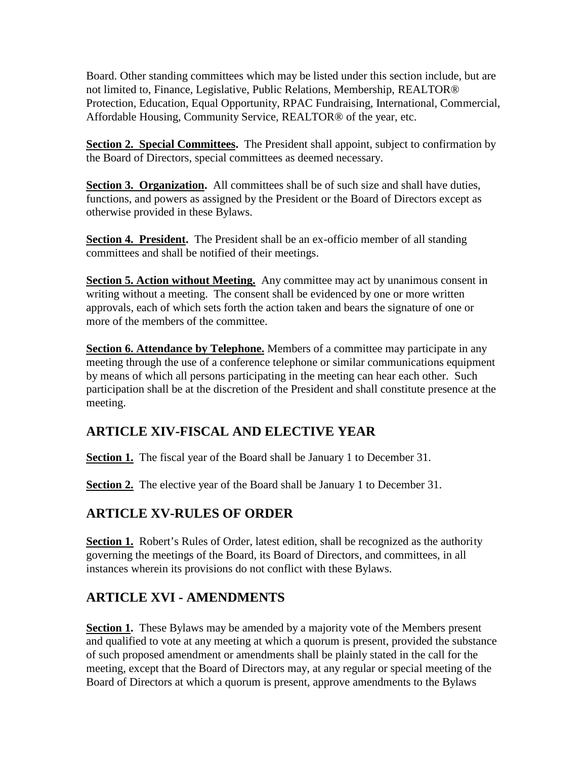Board. Other standing committees which may be listed under this section include, but are not limited to, Finance, Legislative, Public Relations, Membership, REALTOR® Protection, Education, Equal Opportunity, RPAC Fundraising, International, Commercial, Affordable Housing, Community Service, REALTOR® of the year, etc.

**Section 2. Special Committees.** The President shall appoint, subject to confirmation by the Board of Directors, special committees as deemed necessary.

**Section 3. Organization.** All committees shall be of such size and shall have duties, functions, and powers as assigned by the President or the Board of Directors except as otherwise provided in these Bylaws.

**Section 4. President.** The President shall be an ex-officio member of all standing committees and shall be notified of their meetings.

**Section 5. Action without Meeting.** Any committee may act by unanimous consent in writing without a meeting. The consent shall be evidenced by one or more written approvals, each of which sets forth the action taken and bears the signature of one or more of the members of the committee.

**Section 6. Attendance by Telephone.** Members of a committee may participate in any meeting through the use of a conference telephone or similar communications equipment by means of which all persons participating in the meeting can hear each other. Such participation shall be at the discretion of the President and shall constitute presence at the meeting.

# **ARTICLE XIV-FISCAL AND ELECTIVE YEAR**

**Section 1.** The fiscal year of the Board shall be January 1 to December 31.

**Section 2.** The elective year of the Board shall be January 1 to December 31.

## **ARTICLE XV-RULES OF ORDER**

**Section 1.** Robert's Rules of Order, latest edition, shall be recognized as the authority governing the meetings of the Board, its Board of Directors, and committees, in all instances wherein its provisions do not conflict with these Bylaws.

# **ARTICLE XVI - AMENDMENTS**

**Section 1.** These Bylaws may be amended by a majority vote of the Members present and qualified to vote at any meeting at which a quorum is present, provided the substance of such proposed amendment or amendments shall be plainly stated in the call for the meeting, except that the Board of Directors may, at any regular or special meeting of the Board of Directors at which a quorum is present, approve amendments to the Bylaws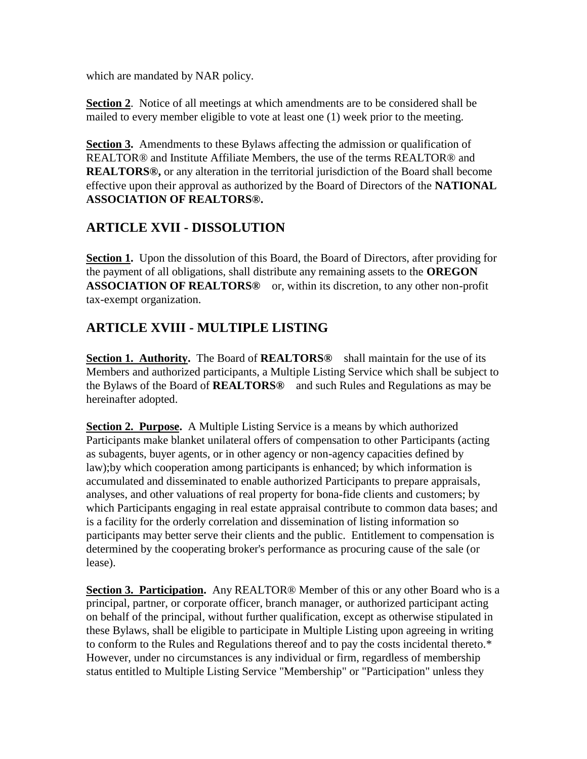which are mandated by NAR policy.

**Section 2**. Notice of all meetings at which amendments are to be considered shall be mailed to every member eligible to vote at least one (1) week prior to the meeting.

**Section 3.** Amendments to these Bylaws affecting the admission or qualification of REALTOR® and Institute Affiliate Members, the use of the terms REALTOR® and **REALTORS®,** or any alteration in the territorial jurisdiction of the Board shall become effective upon their approval as authorized by the Board of Directors of the **NATIONAL ASSOCIATION OF REALTORS®.**

## **ARTICLE XVII - DISSOLUTION**

Section 1. Upon the dissolution of this Board, the Board of Directors, after providing for the payment of all obligations, shall distribute any remaining assets to the **OREGON ASSOCIATION OF REALTORS®** or, within its discretion, to any other non-profit tax-exempt organization.

## **ARTICLE XVIII - MULTIPLE LISTING**

**Section 1. Authority.** The Board of **REALTORS®** shall maintain for the use of its Members and authorized participants, a Multiple Listing Service which shall be subject to the Bylaws of the Board of **REALTORS®** and such Rules and Regulations as may be hereinafter adopted.

**Section 2. Purpose.** A Multiple Listing Service is a means by which authorized Participants make blanket unilateral offers of compensation to other Participants (acting as subagents, buyer agents, or in other agency or non-agency capacities defined by law);by which cooperation among participants is enhanced; by which information is accumulated and disseminated to enable authorized Participants to prepare appraisals, analyses, and other valuations of real property for bona-fide clients and customers; by which Participants engaging in real estate appraisal contribute to common data bases; and is a facility for the orderly correlation and dissemination of listing information so participants may better serve their clients and the public. Entitlement to compensation is determined by the cooperating broker's performance as procuring cause of the sale (or lease).

**Section 3. Participation.** Any REALTOR® Member of this or any other Board who is a principal, partner, or corporate officer, branch manager, or authorized participant acting on behalf of the principal, without further qualification, except as otherwise stipulated in these Bylaws, shall be eligible to participate in Multiple Listing upon agreeing in writing to conform to the Rules and Regulations thereof and to pay the costs incidental thereto.\* However, under no circumstances is any individual or firm, regardless of membership status entitled to Multiple Listing Service "Membership" or "Participation" unless they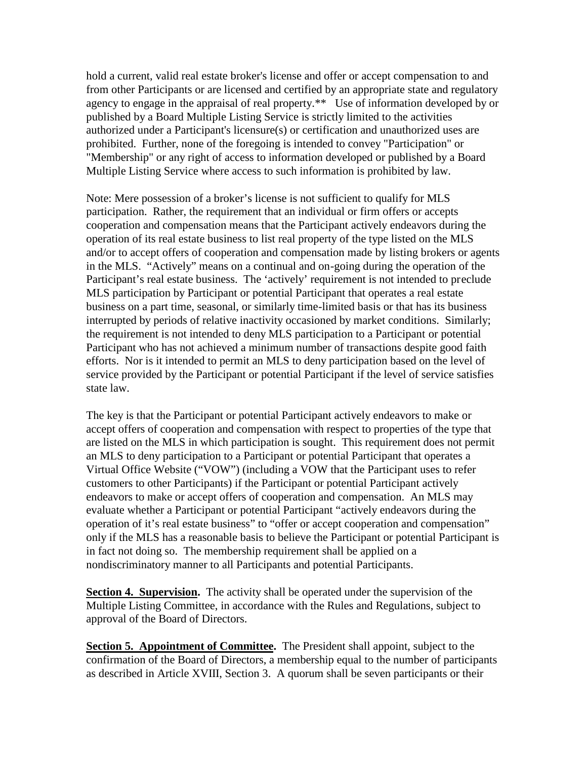hold a current, valid real estate broker's license and offer or accept compensation to and from other Participants or are licensed and certified by an appropriate state and regulatory agency to engage in the appraisal of real property.\*\* Use of information developed by or published by a Board Multiple Listing Service is strictly limited to the activities authorized under a Participant's licensure(s) or certification and unauthorized uses are prohibited. Further, none of the foregoing is intended to convey "Participation" or "Membership" or any right of access to information developed or published by a Board Multiple Listing Service where access to such information is prohibited by law.

Note: Mere possession of a broker's license is not sufficient to qualify for MLS participation. Rather, the requirement that an individual or firm offers or accepts cooperation and compensation means that the Participant actively endeavors during the operation of its real estate business to list real property of the type listed on the MLS and/or to accept offers of cooperation and compensation made by listing brokers or agents in the MLS. "Actively" means on a continual and on-going during the operation of the Participant's real estate business. The 'actively' requirement is not intended to preclude MLS participation by Participant or potential Participant that operates a real estate business on a part time, seasonal, or similarly time-limited basis or that has its business interrupted by periods of relative inactivity occasioned by market conditions. Similarly; the requirement is not intended to deny MLS participation to a Participant or potential Participant who has not achieved a minimum number of transactions despite good faith efforts. Nor is it intended to permit an MLS to deny participation based on the level of service provided by the Participant or potential Participant if the level of service satisfies state law.

The key is that the Participant or potential Participant actively endeavors to make or accept offers of cooperation and compensation with respect to properties of the type that are listed on the MLS in which participation is sought. This requirement does not permit an MLS to deny participation to a Participant or potential Participant that operates a Virtual Office Website ("VOW") (including a VOW that the Participant uses to refer customers to other Participants) if the Participant or potential Participant actively endeavors to make or accept offers of cooperation and compensation. An MLS may evaluate whether a Participant or potential Participant "actively endeavors during the operation of it's real estate business" to "offer or accept cooperation and compensation" only if the MLS has a reasonable basis to believe the Participant or potential Participant is in fact not doing so. The membership requirement shall be applied on a nondiscriminatory manner to all Participants and potential Participants.

**Section 4. Supervision.** The activity shall be operated under the supervision of the Multiple Listing Committee, in accordance with the Rules and Regulations, subject to approval of the Board of Directors.

**Section 5. Appointment of Committee.** The President shall appoint, subject to the confirmation of the Board of Directors, a membership equal to the number of participants as described in Article XVIII, Section 3. A quorum shall be seven participants or their